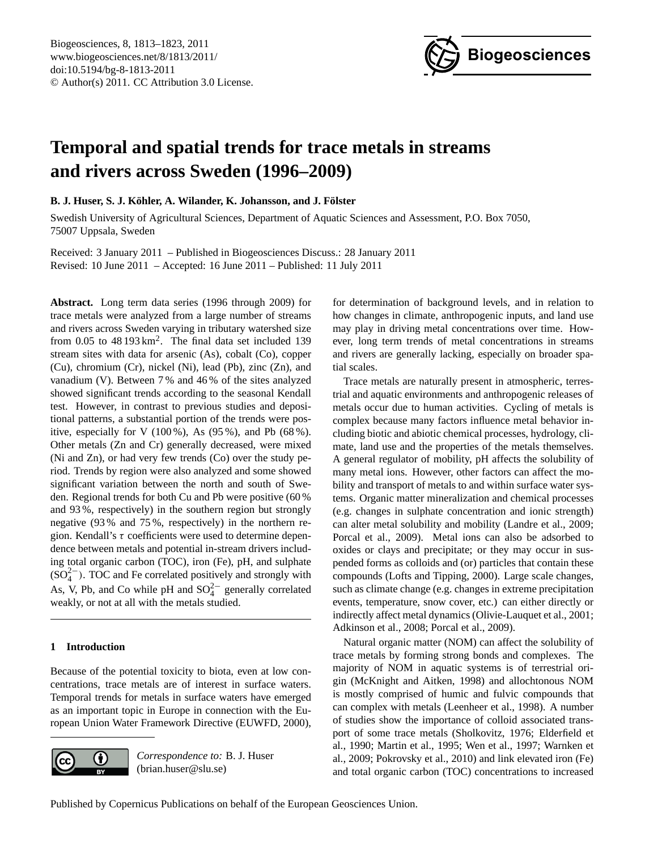

# <span id="page-0-0"></span>**Temporal and spatial trends for trace metals in streams and rivers across Sweden (1996–2009)**

**B. J. Huser, S. J. Köhler, A. Wilander, K. Johansson, and J. Fölster** 

Swedish University of Agricultural Sciences, Department of Aquatic Sciences and Assessment, P.O. Box 7050, 75007 Uppsala, Sweden

Received: 3 January 2011 – Published in Biogeosciences Discuss.: 28 January 2011 Revised: 10 June 2011 – Accepted: 16 June 2011 – Published: 11 July 2011

**Abstract.** Long term data series (1996 through 2009) for trace metals were analyzed from a large number of streams and rivers across Sweden varying in tributary watershed size from  $0.05$  to  $48193 \text{ km}^2$ . The final data set included 139 stream sites with data for arsenic (As), cobalt (Co), copper (Cu), chromium (Cr), nickel (Ni), lead (Pb), zinc (Zn), and vanadium (V). Between 7 % and 46 % of the sites analyzed showed significant trends according to the seasonal Kendall test. However, in contrast to previous studies and depositional patterns, a substantial portion of the trends were positive, especially for V  $(100\%)$ , As  $(95\%)$ , and Pb  $(68\%)$ . Other metals (Zn and Cr) generally decreased, were mixed (Ni and Zn), or had very few trends (Co) over the study period. Trends by region were also analyzed and some showed significant variation between the north and south of Sweden. Regional trends for both Cu and Pb were positive (60 % and 93 %, respectively) in the southern region but strongly negative (93 % and 75 %, respectively) in the northern region. Kendall's  $\tau$  coefficients were used to determine dependence between metals and potential in-stream drivers including total organic carbon (TOC), iron (Fe), pH, and sulphate  $(SO<sub>4</sub><sup>2</sup>)$ . TOC and Fe correlated positively and strongly with As, V, Pb, and Co while pH and  $SO_4^{2-}$  generally correlated weakly, or not at all with the metals studied.

# **1 Introduction**

Because of the potential toxicity to biota, even at low concentrations, trace metals are of interest in surface waters. Temporal trends for metals in surface waters have emerged as an important topic in Europe in connection with the European Union Water Framework Directive (EUWFD, 2000),



*Correspondence to:* B. J. Huser (brian.huser@slu.se)

for determination of background levels, and in relation to how changes in climate, anthropogenic inputs, and land use may play in driving metal concentrations over time. However, long term trends of metal concentrations in streams and rivers are generally lacking, especially on broader spatial scales.

Trace metals are naturally present in atmospheric, terrestrial and aquatic environments and anthropogenic releases of metals occur due to human activities. Cycling of metals is complex because many factors influence metal behavior including biotic and abiotic chemical processes, hydrology, climate, land use and the properties of the metals themselves. A general regulator of mobility, pH affects the solubility of many metal ions. However, other factors can affect the mobility and transport of metals to and within surface water systems. Organic matter mineralization and chemical processes (e.g. changes in sulphate concentration and ionic strength) can alter metal solubility and mobility (Landre et al., 2009; Porcal et al., 2009). Metal ions can also be adsorbed to oxides or clays and precipitate; or they may occur in suspended forms as colloids and (or) particles that contain these compounds (Lofts and Tipping, 2000). Large scale changes, such as climate change (e.g. changes in extreme precipitation events, temperature, snow cover, etc.) can either directly or indirectly affect metal dynamics (Olivie-Lauquet et al., 2001; Adkinson et al., 2008; Porcal et al., 2009).

Natural organic matter (NOM) can affect the solubility of trace metals by forming strong bonds and complexes. The majority of NOM in aquatic systems is of terrestrial origin (McKnight and Aitken, 1998) and allochtonous NOM is mostly comprised of humic and fulvic compounds that can complex with metals (Leenheer et al., 1998). A number of studies show the importance of colloid associated transport of some trace metals (Sholkovitz, 1976; Elderfield et al., 1990; Martin et al., 1995; Wen et al., 1997; Warnken et al., 2009; Pokrovsky et al., 2010) and link elevated iron (Fe) and total organic carbon (TOC) concentrations to increased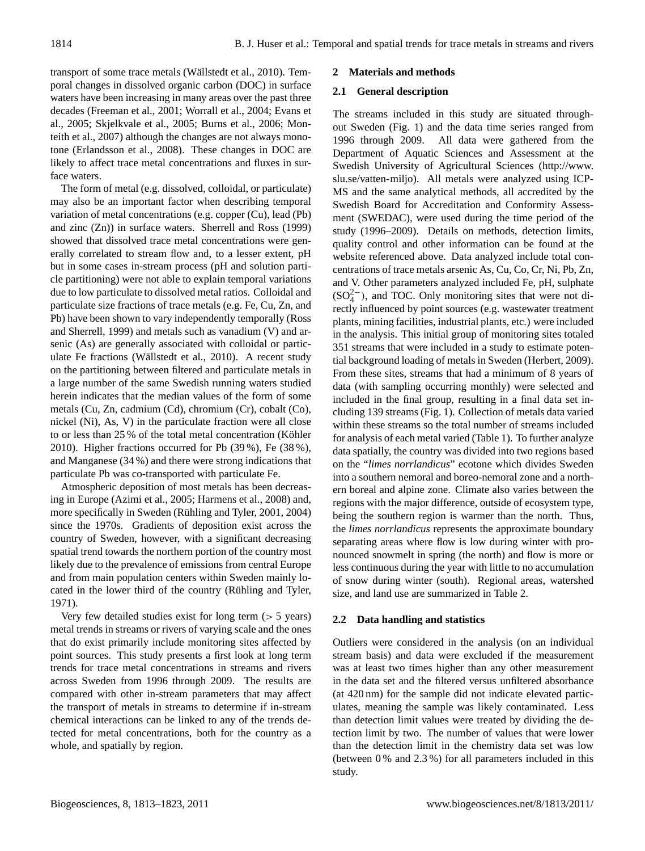transport of some trace metals (Wällstedt et al., 2010). Temporal changes in dissolved organic carbon (DOC) in surface waters have been increasing in many areas over the past three decades (Freeman et al., 2001; Worrall et al., 2004; Evans et al., 2005; Skjelkvale et al., 2005; Burns et al., 2006; Monteith et al., 2007) although the changes are not always monotone (Erlandsson et al., 2008). These changes in DOC are likely to affect trace metal concentrations and fluxes in surface waters.

The form of metal (e.g. dissolved, colloidal, or particulate) may also be an important factor when describing temporal variation of metal concentrations (e.g. copper (Cu), lead (Pb) and zinc (Zn)) in surface waters. Sherrell and Ross (1999) showed that dissolved trace metal concentrations were generally correlated to stream flow and, to a lesser extent, pH but in some cases in-stream process (pH and solution particle partitioning) were not able to explain temporal variations due to low particulate to dissolved metal ratios. Colloidal and particulate size fractions of trace metals (e.g. Fe, Cu, Zn, and Pb) have been shown to vary independently temporally (Ross and Sherrell, 1999) and metals such as vanadium (V) and arsenic (As) are generally associated with colloidal or particulate Fe fractions (Wällstedt et al., 2010). A recent study on the partitioning between filtered and particulate metals in a large number of the same Swedish running waters studied herein indicates that the median values of the form of some metals (Cu, Zn, cadmium (Cd), chromium (Cr), cobalt (Co), nickel (Ni), As, V) in the particulate fraction were all close to or less than 25 % of the total metal concentration (Köhler 2010). Higher fractions occurred for Pb (39 %), Fe (38 %), and Manganese (34 %) and there were strong indications that particulate Pb was co-transported with particulate Fe.

Atmospheric deposition of most metals has been decreasing in Europe (Azimi et al., 2005; Harmens et al., 2008) and, more specifically in Sweden (Rühling and Tyler, 2001, 2004) since the 1970s. Gradients of deposition exist across the country of Sweden, however, with a significant decreasing spatial trend towards the northern portion of the country most likely due to the prevalence of emissions from central Europe and from main population centers within Sweden mainly located in the lower third of the country (Rühling and Tyler, 1971).

Very few detailed studies exist for long term  $($  > 5 years) metal trends in streams or rivers of varying scale and the ones that do exist primarily include monitoring sites affected by point sources. This study presents a first look at long term trends for trace metal concentrations in streams and rivers across Sweden from 1996 through 2009. The results are compared with other in-stream parameters that may affect the transport of metals in streams to determine if in-stream chemical interactions can be linked to any of the trends detected for metal concentrations, both for the country as a whole, and spatially by region.

### **2 Materials and methods**

## **2.1 General description**

The streams included in this study are situated throughout Sweden (Fig. 1) and the data time series ranged from 1996 through 2009. All data were gathered from the Department of Aquatic Sciences and Assessment at the Swedish University of Agricultural Sciences [\(http://www.](http://www.slu.se/vatten-miljo) [slu.se/vatten-miljo\)](http://www.slu.se/vatten-miljo). All metals were analyzed using ICP-MS and the same analytical methods, all accredited by the Swedish Board for Accreditation and Conformity Assessment (SWEDAC), were used during the time period of the study (1996–2009). Details on methods, detection limits, quality control and other information can be found at the website referenced above. Data analyzed include total concentrations of trace metals arsenic As, Cu, Co, Cr, Ni, Pb, Zn, and V. Other parameters analyzed included Fe, pH, sulphate (SO<sub>4</sub><sup>2</sup>), and TOC. Only monitoring sites that were not directly influenced by point sources (e.g. wastewater treatment plants, mining facilities, industrial plants, etc.) were included in the analysis. This initial group of monitoring sites totaled 351 streams that were included in a study to estimate potential background loading of metals in Sweden (Herbert, 2009). From these sites, streams that had a minimum of 8 years of data (with sampling occurring monthly) were selected and included in the final group, resulting in a final data set including 139 streams (Fig. 1). Collection of metals data varied within these streams so the total number of streams included for analysis of each metal varied (Table 1). To further analyze data spatially, the country was divided into two regions based on the "*limes norrlandicus*" ecotone which divides Sweden into a southern nemoral and boreo-nemoral zone and a northern boreal and alpine zone. Climate also varies between the regions with the major difference, outside of ecosystem type, being the southern region is warmer than the north. Thus, the *limes norrlandicus* represents the approximate boundary separating areas where flow is low during winter with pronounced snowmelt in spring (the north) and flow is more or less continuous during the year with little to no accumulation of snow during winter (south). Regional areas, watershed size, and land use are summarized in Table 2.

#### **2.2 Data handling and statistics**

Outliers were considered in the analysis (on an individual stream basis) and data were excluded if the measurement was at least two times higher than any other measurement in the data set and the filtered versus unfiltered absorbance (at 420 nm) for the sample did not indicate elevated particulates, meaning the sample was likely contaminated. Less than detection limit values were treated by dividing the detection limit by two. The number of values that were lower than the detection limit in the chemistry data set was low (between 0 % and 2.3 %) for all parameters included in this study.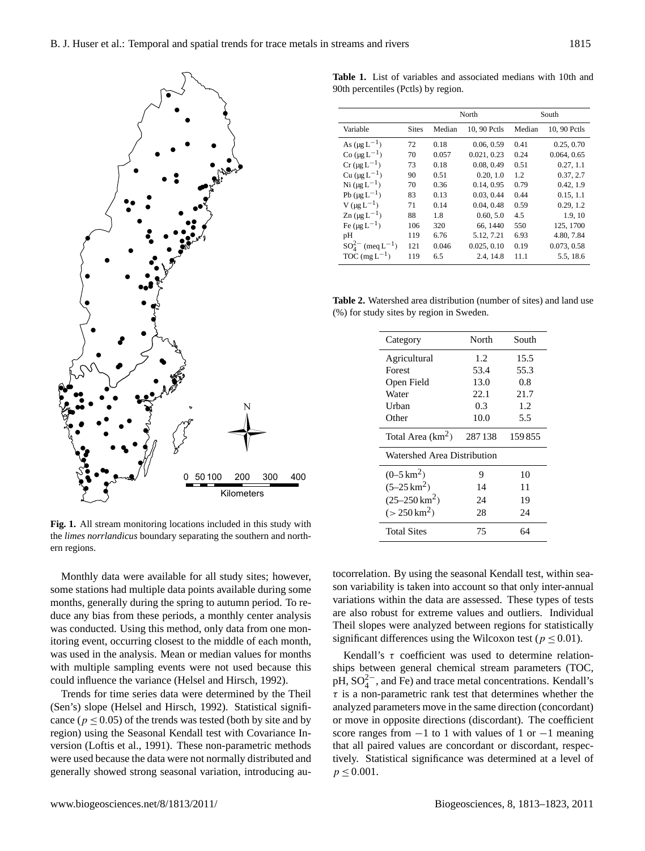

**Fig. 1.** All stream monitoring locations included in this study with the *limes norrlandicus* boundary separating the southern and northern regions.

Monthly data were available for all study sites; however, some stations had multiple data points available during some months, generally during the spring to autumn period. To reduce any bias from these periods, a monthly center analysis was conducted. Using this method, only data from one monitoring event, occurring closest to the middle of each month, was used in the analysis. Mean or median values for months with multiple sampling events were not used because this could influence the variance (Helsel and Hirsch, 1992).

Trends for time series data were determined by the Theil (Sen's) slope (Helsel and Hirsch, 1992). Statistical significance ( $p < 0.05$ ) of the trends was tested (both by site and by region) using the Seasonal Kendall test with Covariance Inversion (Loftis et al., 1991). These non-parametric methods were used because the data were not normally distributed and generally showed strong seasonal variation, introducing au-

**Table 1.** List of variables and associated medians with 10th and 90th percentiles (Pctls) by region.

|                                    |              | North  |              | South  |              |  |
|------------------------------------|--------------|--------|--------------|--------|--------------|--|
| Variable                           | <b>Sites</b> | Median | 10, 90 Pctls | Median | 10, 90 Pctls |  |
| As $(\mu g L^{-1})$                | 72           | 0.18   | 0.06, 0.59   | 0.41   | 0.25, 0.70   |  |
| $Co$ ( $\mu g L^{-1}$ )            | 70           | 0.057  | 0.021, 0.23  | 0.24   | 0.064, 0.65  |  |
| $Cr$ (µg $L^{-1}$ )                | 73           | 0.18   | 0.08, 0.49   | 0.51   | 0.27, 1.1    |  |
| $Cu$ (µg $L^{-1}$ )                | 90           | 0.51   | 0.20, 1.0    | 1.2    | 0.37, 2.7    |  |
| Ni $(\mu g L^{-1})$                | 70           | 0.36   | 0.14, 0.95   | 0.79   | 0.42, 1.9    |  |
| Pb $(\mu g L^{-1})$                | 83           | 0.13   | 0.03, 0.44   | 0.44   | 0.15, 1.1    |  |
| $V (\mu g L^{-1})$                 | 71           | 0.14   | 0.04.0.48    | 0.59   | 0.29, 1.2    |  |
| $\text{Zn}$ (µg $\text{L}^{-1}$ )  | 88           | 1.8    | 0.60, 5.0    | 4.5    | 1.9, 10      |  |
| Fe $(\mu g L^{-1})$                | 106          | 320    | 66, 1440     | 550    | 125, 1700    |  |
| pH                                 | 119          | 6.76   | 5.12, 7.21   | 6.93   | 4.80, 7.84   |  |
| $SO_4^{2-}$ (meq L <sup>-1</sup> ) | 121          | 0.046  | 0.025, 0.10  | 0.19   | 0.073, 0.58  |  |
| TOC $(mgL^{-1})$                   | 119          | 6.5    | 2.4, 14.8    | 11.1   | 5.5, 18.6    |  |

**Table 2.** Watershed area distribution (number of sites) and land use (%) for study sites by region in Sweden.

| Category                    | North  | South  |  |  |  |
|-----------------------------|--------|--------|--|--|--|
| Agricultural                | 1.2.   | 15.5   |  |  |  |
| <b>Forest</b>               | 53.4   | 55.3   |  |  |  |
| Open Field                  | 13.0   | 0.8    |  |  |  |
| Water                       | 22.1   | 21.7   |  |  |  |
| Urban                       | 0.3    | 1.2.   |  |  |  |
| Other                       | 10.0   | 5.5    |  |  |  |
| Total Area $(km^2)$         | 287138 | 159855 |  |  |  |
| Watershed Area Distribution |        |        |  |  |  |
| $(0-5 \text{ km}^2)$        | 9      | 10     |  |  |  |
| $(5-25 \text{ km}^2)$       | 14     | 11     |  |  |  |
| $(25-250 \,\mathrm{km^2})$  | 24     | 19     |  |  |  |
| $(>250 \,\rm km^2)$         | 28     | 24     |  |  |  |
| <b>Total Sites</b>          | 75     | 64     |  |  |  |

tocorrelation. By using the seasonal Kendall test, within season variability is taken into account so that only inter-annual variations within the data are assessed. These types of tests are also robust for extreme values and outliers. Individual Theil slopes were analyzed between regions for statistically significant differences using the Wilcoxon test ( $p \le 0.01$ ).

Kendall's  $\tau$  coefficient was used to determine relationships between general chemical stream parameters (TOC, pH,  $SO_4^{2-}$ , and Fe) and trace metal concentrations. Kendall's  $\tau$  is a non-parametric rank test that determines whether the analyzed parameters move in the same direction (concordant) or move in opposite directions (discordant). The coefficient score ranges from  $-1$  to 1 with values of 1 or  $-1$  meaning that all paired values are concordant or discordant, respectively. Statistical significance was determined at a level of  $p \le 0.001$ .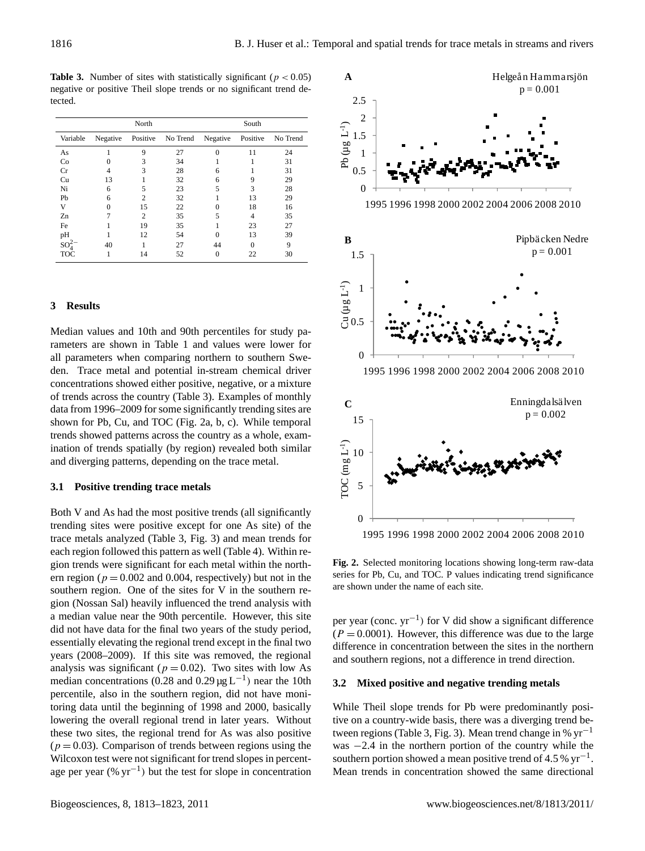**Table 3.** Number of sites with statistically significant ( $p < 0.05$ ) negative or positive Theil slope trends or no significant trend detected.

|            |          | North          |          |          | South    |          |
|------------|----------|----------------|----------|----------|----------|----------|
| Variable   | Negative | Positive       | No Trend | Negative | Positive | No Trend |
| As         |          | 9              | 27       | $\theta$ | 11       | 24       |
| Co         |          | 3              | 34       |          |          | 31       |
| Cr         |          | 3              | 28       | 6        |          | 31       |
| Cu         | 13       |                | 32       | 6        | 9        | 29       |
| Ni         | 6        | 5              | 23       | 5        | 3        | 28       |
| Pb         | 6        | 2              | 32       |          | 13       | 29       |
| V          |          | 15             | 22       |          | 18       | 16       |
| Zn         |          | $\overline{c}$ | 35       | 5        | 4        | 35       |
| Fe         |          | 19             | 35       |          | 23       | 27       |
| pH         |          | 12             | 54       | 0        | 13       | 39       |
| $SO_4^2$   | 40       |                | 27       | 44       | 0        | 9        |
| <b>TOC</b> |          | 14             | 52       | $\Omega$ | 22       | 30       |

## **3 Results**

Median values and 10th and 90th percentiles for study parameters are shown in Table 1 and values were lower for all parameters when comparing northern to southern Sweden. Trace metal and potential in-stream chemical driver concentrations showed either positive, negative, or a mixture of trends across the country (Table 3). Examples of monthly data from 1996–2009 for some significantly trending sites are shown for Pb, Cu, and TOC (Fig. 2a, b, c). While temporal trends showed patterns across the country as a whole, examination of trends spatially (by region) revealed both similar and diverging patterns, depending on the trace metal.

#### **3.1 Positive trending trace metals**

Both V and As had the most positive trends (all significantly trending sites were positive except for one As site) of the trace metals analyzed (Table 3, Fig. 3) and mean trends for each region followed this pattern as well (Table 4). Within region trends were significant for each metal within the northern region ( $p = 0.002$  and 0.004, respectively) but not in the southern region. One of the sites for V in the southern region (Nossan Sal) heavily influenced the trend analysis with a median value near the 90th percentile. However, this site did not have data for the final two years of the study period, essentially elevating the regional trend except in the final two years (2008–2009). If this site was removed, the regional analysis was significant ( $p = 0.02$ ). Two sites with low As median concentrations (0.28 and 0.29 µg L<sup>-1</sup>) near the 10th percentile, also in the southern region, did not have monitoring data until the beginning of 1998 and 2000, basically lowering the overall regional trend in later years. Without these two sites, the regional trend for As was also positive  $(p = 0.03)$ . Comparison of trends between regions using the Wilcoxon test were not significant for trend slopes in percentage per year (% yr−<sup>1</sup> ) but the test for slope in concentration



**Fig. 2.** Selected monitoring locations showing long-term raw-data series for Pb, Cu, and TOC. P values indicating trend significance are shown under the name of each site.

per year (conc. yr<sup>-1</sup>) for V did show a significant difference  $(P = 0.0001)$ . However, this difference was due to the large difference in concentration between the sites in the northern and southern regions, not a difference in trend direction.

### **3.2 Mixed positive and negative trending metals**

While Theil slope trends for Pb were predominantly positive on a country-wide basis, there was a diverging trend between regions (Table 3, Fig. 3). Mean trend change in %  $yr^{-1}$ was −2.4 in the northern portion of the country while the southern portion showed a mean positive trend of 4.5 %  $yr^{-1}$ . Mean trends in concentration showed the same directional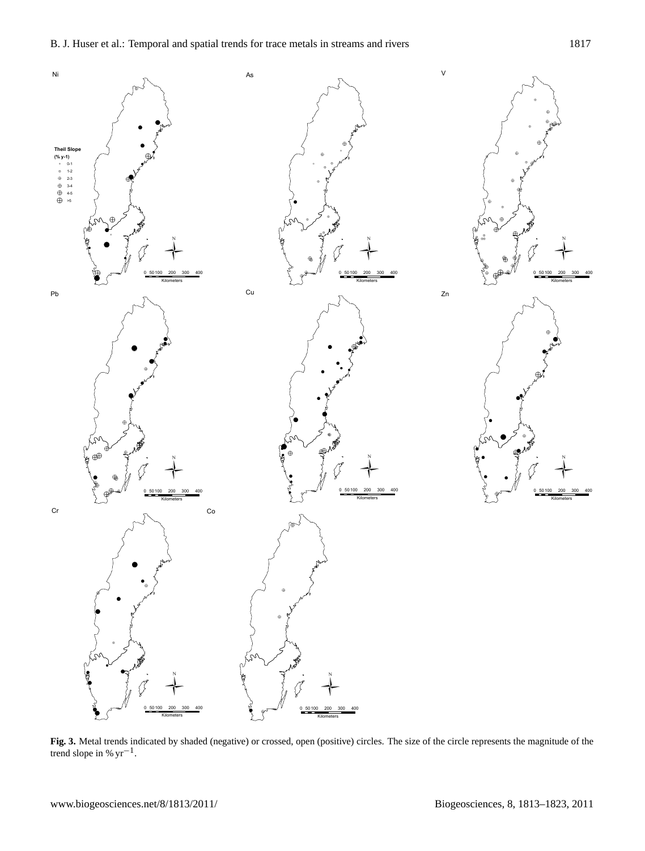

**Fig. 3.** Metal trends indicated by shaded (negative) or crossed, open (positive) circles. The size of the circle represents the magnitude of the trend slope in %  $yr^{-1}$ .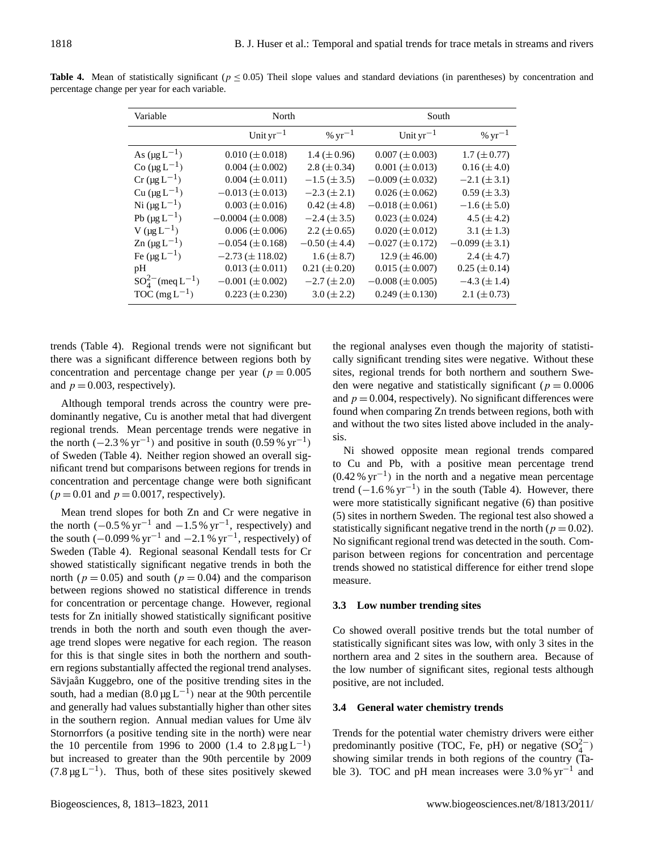| Variable                           | North                   |                     | South                  |                      |  |
|------------------------------------|-------------------------|---------------------|------------------------|----------------------|--|
|                                    | Unit $yr^{-1}$          | % $yr^{-1}$         | Unit $yr^{-1}$         | % $yr^{-1}$          |  |
| As $(\mu g L^{-1})$                | $0.010 \ (\pm 0.018)$   | $1.4 \ (\pm 0.96)$  | $0.007 \ (\pm 0.003)$  | $1.7 (\pm 0.77)$     |  |
| Co $(\mu g L^{-1})$                | $0.004 \ (\pm 0.002)$   | $2.8 (\pm 0.34)$    | $0.001 \ (\pm 0.013)$  | $0.16 (\pm 4.0)$     |  |
| $Cr (\mu g L^{-1})$                | $0.004 \ (\pm 0.011)$   | $-1.5 (\pm 3.5)$    | $-0.009 \ (\pm 0.032)$ | $-2.1 (\pm 3.1)$     |  |
| Cu $(\mu g L^{-1})$                | $-0.013 \ (\pm 0.013)$  | $-2.3 (\pm 2.1)$    | $0.026 \ (\pm 0.062)$  | $0.59 \ (\pm 3.3)$   |  |
| Ni $(\mu g L^{-1})$                | $0.003 \ (\pm 0.016)$   | $0.42 \ (\pm 4.8)$  | $-0.018 \ (\pm 0.061)$ | $-1.6 (\pm 5.0)$     |  |
| Pb $(\mu g L^{-1})$                | $-0.0004 \ (\pm 0.008)$ | $-2.4 \ (\pm 3.5)$  | $0.023 \ (\pm 0.024)$  | 4.5 $(\pm 4.2)$      |  |
| $V(\mu g L^{-1})$                  | $0.006 \ (\pm 0.006)$   | $2.2 \ (\pm 0.65)$  | $0.020 \ (\pm 0.012)$  | 3.1 $(\pm 1.3)$      |  |
| $\text{Zn}$ (µg L <sup>-1</sup> )  | $-0.054 \ (\pm 0.168)$  | $-0.50 \ (\pm 4.4)$ | $-0.027 \ (\pm 0.172)$ | $-0.099 \ (\pm 3.1)$ |  |
| Fe $(\mu g L^{-1})$                | $-2.73 \ (\pm 118.02)$  | $1.6 (\pm 8.7)$     | $12.9 \ (\pm 46.00)$   | 2.4 $(\pm 4.7)$      |  |
| pH                                 | $0.013 \ (\pm 0.011)$   | $0.21 (\pm 0.20)$   | $0.015 \ (\pm 0.007)$  | $0.25 \ (\pm 0.14)$  |  |
| $SO_4^{2-}$ (meq L <sup>-1</sup> ) | $-0.001 \ (\pm 0.002)$  | $-2.7 (\pm 2.0)$    | $-0.008 \ (\pm 0.005)$ | $-4.3 (\pm 1.4)$     |  |
| TOC $(mgL^{-1})$                   | $0.223 \ (\pm 0.230)$   | $3.0 (\pm 2.2)$     | $0.249 \ (\pm 0.130)$  | 2.1 ( $\pm$ 0.73)    |  |

**Table 4.** Mean of statistically significant ( $p \le 0.05$ ) Theil slope values and standard deviations (in parentheses) by concentration and percentage change per year for each variable.

trends (Table 4). Regional trends were not significant but there was a significant difference between regions both by concentration and percentage change per year ( $p = 0.005$ ) and  $p = 0.003$ , respectively).

Although temporal trends across the country were predominantly negative, Cu is another metal that had divergent regional trends. Mean percentage trends were negative in the north  $(-2.3\% \text{ yr}^{-1})$  and positive in south  $(0.59\% \text{ yr}^{-1})$ of Sweden (Table 4). Neither region showed an overall significant trend but comparisons between regions for trends in concentration and percentage change were both significant  $(p=0.01$  and  $p=0.0017$ , respectively).

Mean trend slopes for both Zn and Cr were negative in the north  $(-0.5\% \text{ yr}^{-1}$  and  $-1.5\% \text{ yr}^{-1}$ , respectively) and the south  $(-0.099\% \text{ yr}^{-1}$  and  $-2.1\% \text{ yr}^{-1}$ , respectively) of Sweden (Table 4). Regional seasonal Kendall tests for Cr showed statistically significant negative trends in both the north ( $p = 0.05$ ) and south ( $p = 0.04$ ) and the comparison between regions showed no statistical difference in trends for concentration or percentage change. However, regional tests for Zn initially showed statistically significant positive trends in both the north and south even though the average trend slopes were negative for each region. The reason for this is that single sites in both the northern and southern regions substantially affected the regional trend analyses. Sävjaån Kuggebro, one of the positive trending sites in the south, had a median  $(8.0 \,\mu g \,L^{-1})$  near at the 90th percentile and generally had values substantially higher than other sites in the southern region. Annual median values for Ume alv Stornorrfors (a positive tending site in the north) were near the 10 percentile from 1996 to 2000 (1.4 to  $2.8 \,\mu g L^{-1}$ ) but increased to greater than the 90th percentile by 2009  $(7.8 \mu g L^{-1})$ . Thus, both of these sites positively skewed

the regional analyses even though the majority of statistically significant trending sites were negative. Without these sites, regional trends for both northern and southern Sweden were negative and statistically significant ( $p = 0.0006$ ) and  $p = 0.004$ , respectively). No significant differences were found when comparing Zn trends between regions, both with and without the two sites listed above included in the analysis.

Ni showed opposite mean regional trends compared to Cu and Pb, with a positive mean percentage trend (0.42 % yr−<sup>1</sup> ) in the north and a negative mean percentage trend  $(-1.6\% \text{ yr}^{-1})$  in the south (Table 4). However, there were more statistically significant negative (6) than positive (5) sites in northern Sweden. The regional test also showed a statistically significant negative trend in the north ( $p = 0.02$ ). No significant regional trend was detected in the south. Comparison between regions for concentration and percentage trends showed no statistical difference for either trend slope measure.

### **3.3 Low number trending sites**

Co showed overall positive trends but the total number of statistically significant sites was low, with only 3 sites in the northern area and 2 sites in the southern area. Because of the low number of significant sites, regional tests although positive, are not included.

## **3.4 General water chemistry trends**

Trends for the potential water chemistry drivers were either predominantly positive (TOC, Fe, pH) or negative  $(SO_4^{2-})$ showing similar trends in both regions of the country (Table 3). TOC and pH mean increases were  $3.0\% \text{ yr}^{-1}$  and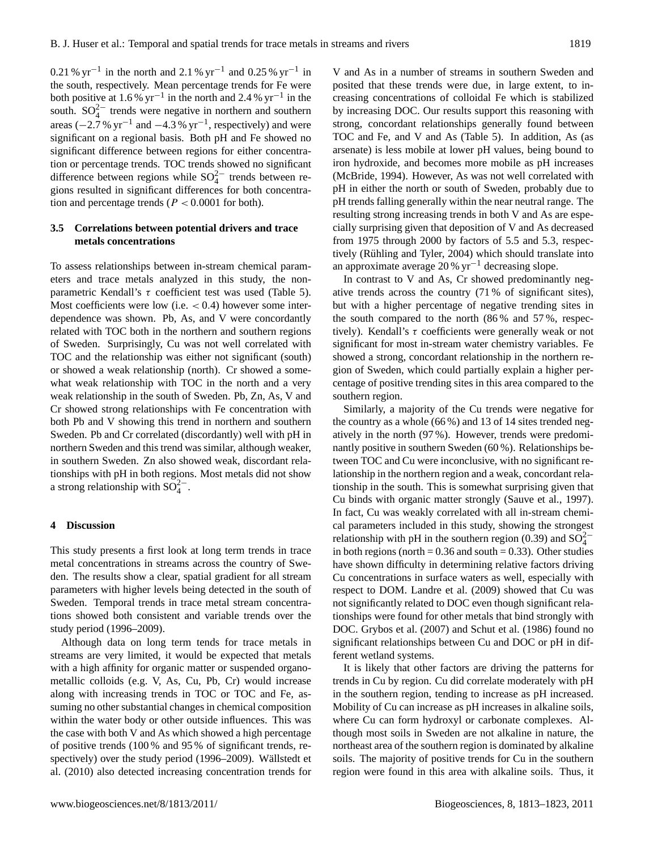0.21 %  $yr^{-1}$  in the north and 2.1 %  $yr^{-1}$  and 0.25 %  $yr^{-1}$  in the south, respectively. Mean percentage trends for Fe were both positive at 1.6%  $yr^{-1}$  in the north and 2.4%  $yr^{-1}$  in the south.  $SO_4^{2-}$  trends were negative in northern and southern areas ( $-2.7\% \text{ yr}^{-1}$  and  $-4.3\% \text{ yr}^{-1}$ , respectively) and were significant on a regional basis. Both pH and Fe showed no significant difference between regions for either concentration or percentage trends. TOC trends showed no significant difference between regions while  $SO_4^{2-}$  trends between regions resulted in significant differences for both concentration and percentage trends ( $P < 0.0001$  for both).

# **3.5 Correlations between potential drivers and trace metals concentrations**

To assess relationships between in-stream chemical parameters and trace metals analyzed in this study, the nonparametric Kendall's  $\tau$  coefficient test was used (Table 5). Most coefficients were low (i.e.  $< 0.4$ ) however some interdependence was shown. Pb, As, and V were concordantly related with TOC both in the northern and southern regions of Sweden. Surprisingly, Cu was not well correlated with TOC and the relationship was either not significant (south) or showed a weak relationship (north). Cr showed a somewhat weak relationship with TOC in the north and a very weak relationship in the south of Sweden. Pb, Zn, As, V and Cr showed strong relationships with Fe concentration with both Pb and V showing this trend in northern and southern Sweden. Pb and Cr correlated (discordantly) well with pH in northern Sweden and this trend was similar, although weaker, in southern Sweden. Zn also showed weak, discordant relationships with pH in both regions. Most metals did not show a strong relationship with  $SO_4^{2-}$ .

## **4 Discussion**

This study presents a first look at long term trends in trace metal concentrations in streams across the country of Sweden. The results show a clear, spatial gradient for all stream parameters with higher levels being detected in the south of Sweden. Temporal trends in trace metal stream concentrations showed both consistent and variable trends over the study period (1996–2009).

Although data on long term tends for trace metals in streams are very limited, it would be expected that metals with a high affinity for organic matter or suspended organometallic colloids (e.g. V, As, Cu, Pb, Cr) would increase along with increasing trends in TOC or TOC and Fe, assuming no other substantial changes in chemical composition within the water body or other outside influences. This was the case with both V and As which showed a high percentage of positive trends (100 % and 95 % of significant trends, respectively) over the study period (1996–2009). Wällstedt et al. (2010) also detected increasing concentration trends for

V and As in a number of streams in southern Sweden and posited that these trends were due, in large extent, to increasing concentrations of colloidal Fe which is stabilized by increasing DOC. Our results support this reasoning with strong, concordant relationships generally found between TOC and Fe, and V and As (Table 5). In addition, As (as arsenate) is less mobile at lower pH values, being bound to iron hydroxide, and becomes more mobile as pH increases (McBride, 1994). However, As was not well correlated with pH in either the north or south of Sweden, probably due to pH trends falling generally within the near neutral range. The resulting strong increasing trends in both V and As are especially surprising given that deposition of V and As decreased from 1975 through 2000 by factors of 5.5 and 5.3, respectively (Rühling and Tyler, 2004) which should translate into an approximate average 20 %  $yr^{-1}$  decreasing slope.

In contrast to V and As, Cr showed predominantly negative trends across the country (71 % of significant sites), but with a higher percentage of negative trending sites in the south compared to the north (86 % and 57 %, respectively). Kendall's  $\tau$  coefficients were generally weak or not significant for most in-stream water chemistry variables. Fe showed a strong, concordant relationship in the northern region of Sweden, which could partially explain a higher percentage of positive trending sites in this area compared to the southern region.

Similarly, a majority of the Cu trends were negative for the country as a whole (66 %) and 13 of 14 sites trended negatively in the north (97 %). However, trends were predominantly positive in southern Sweden (60 %). Relationships between TOC and Cu were inconclusive, with no significant relationship in the northern region and a weak, concordant relationship in the south. This is somewhat surprising given that Cu binds with organic matter strongly (Sauve et al., 1997). In fact, Cu was weakly correlated with all in-stream chemical parameters included in this study, showing the strongest relationship with pH in the southern region (0.39) and  $SO_4^{2-}$ in both regions (north =  $0.36$  and south =  $0.33$ ). Other studies have shown difficulty in determining relative factors driving Cu concentrations in surface waters as well, especially with respect to DOM. Landre et al. (2009) showed that Cu was not significantly related to DOC even though significant relationships were found for other metals that bind strongly with DOC. Grybos et al. (2007) and Schut et al. (1986) found no significant relationships between Cu and DOC or pH in different wetland systems.

It is likely that other factors are driving the patterns for trends in Cu by region. Cu did correlate moderately with pH in the southern region, tending to increase as pH increased. Mobility of Cu can increase as pH increases in alkaline soils, where Cu can form hydroxyl or carbonate complexes. Although most soils in Sweden are not alkaline in nature, the northeast area of the southern region is dominated by alkaline soils. The majority of positive trends for Cu in the southern region were found in this area with alkaline soils. Thus, it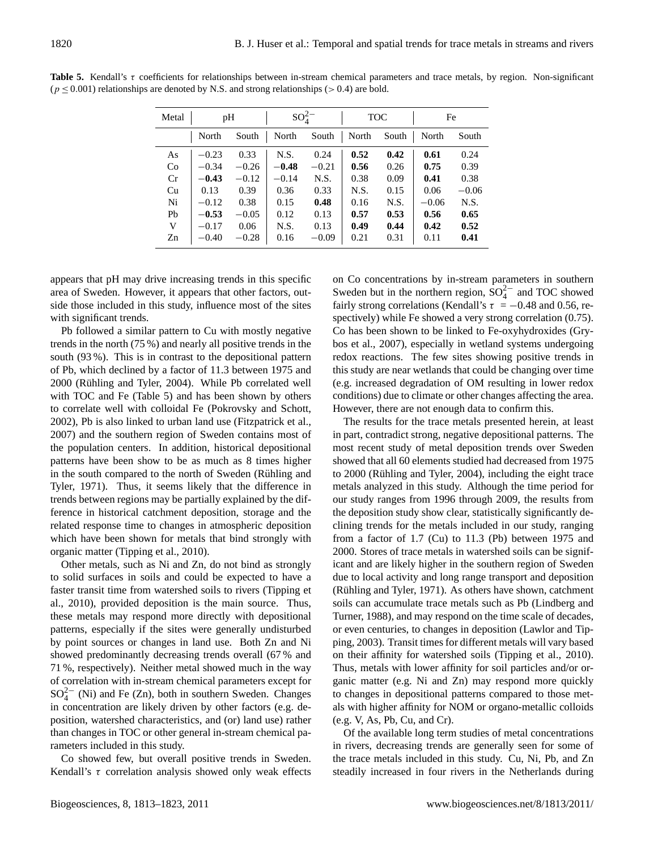| Metal | pH      |         | $SO_4^{2-}$ |         | <b>TOC</b> |       | Fe      |         |
|-------|---------|---------|-------------|---------|------------|-------|---------|---------|
|       | North   | South   | North       | South   | North      | South | North   | South   |
| As    | $-0.23$ | 0.33    | N.S.        | 0.24    | 0.52       | 0.42  | 0.61    | 0.24    |
| Co    | $-0.34$ | $-0.26$ | $-0.48$     | $-0.21$ | 0.56       | 0.26  | 0.75    | 0.39    |
| Cr    | $-0.43$ | $-0.12$ | $-0.14$     | N.S.    | 0.38       | 0.09  | 0.41    | 0.38    |
| Cu    | 0.13    | 0.39    | 0.36        | 0.33    | N.S.       | 0.15  | 0.06    | $-0.06$ |
| Ni    | $-0.12$ | 0.38    | 0.15        | 0.48    | 0.16       | N.S.  | $-0.06$ | N.S.    |
| Ph    | $-0.53$ | $-0.05$ | 0.12        | 0.13    | 0.57       | 0.53  | 0.56    | 0.65    |
| V     | $-0.17$ | 0.06    | N.S.        | 0.13    | 0.49       | 0.44  | 0.42    | 0.52    |
| Zn    | $-0.40$ | $-0.28$ | 0.16        | $-0.09$ | 0.21       | 0.31  | 0.11    | 0.41    |

**Table 5.** Kendall's τ coefficients for relationships between in-stream chemical parameters and trace metals, by region. Non-significant  $(p \le 0.001)$  relationships are denoted by N.S. and strong relationships (> 0.4) are bold.

appears that pH may drive increasing trends in this specific area of Sweden. However, it appears that other factors, outside those included in this study, influence most of the sites with significant trends.

Pb followed a similar pattern to Cu with mostly negative trends in the north (75 %) and nearly all positive trends in the south (93 %). This is in contrast to the depositional pattern of Pb, which declined by a factor of 11.3 between 1975 and 2000 (Rühling and Tyler, 2004). While Pb correlated well with TOC and Fe (Table 5) and has been shown by others to correlate well with colloidal Fe (Pokrovsky and Schott, 2002), Pb is also linked to urban land use (Fitzpatrick et al., 2007) and the southern region of Sweden contains most of the population centers. In addition, historical depositional patterns have been show to be as much as 8 times higher in the south compared to the north of Sweden (Rühling and Tyler, 1971). Thus, it seems likely that the difference in trends between regions may be partially explained by the difference in historical catchment deposition, storage and the related response time to changes in atmospheric deposition which have been shown for metals that bind strongly with organic matter (Tipping et al., 2010).

Other metals, such as Ni and Zn, do not bind as strongly to solid surfaces in soils and could be expected to have a faster transit time from watershed soils to rivers (Tipping et al., 2010), provided deposition is the main source. Thus, these metals may respond more directly with depositional patterns, especially if the sites were generally undisturbed by point sources or changes in land use. Both Zn and Ni showed predominantly decreasing trends overall (67 % and 71 %, respectively). Neither metal showed much in the way of correlation with in-stream chemical parameters except for  $SO_4^{2-}$  (Ni) and Fe (Zn), both in southern Sweden. Changes in concentration are likely driven by other factors (e.g. deposition, watershed characteristics, and (or) land use) rather than changes in TOC or other general in-stream chemical parameters included in this study.

Co showed few, but overall positive trends in Sweden. Kendall's  $\tau$  correlation analysis showed only weak effects on Co concentrations by in-stream parameters in southern Sweden but in the northern region,  $SO_4^{2-}$  and TOC showed fairly strong correlations (Kendall's  $\tau = -0.48$  and 0.56, respectively) while Fe showed a very strong correlation  $(0.75)$ . Co has been shown to be linked to Fe-oxyhydroxides (Grybos et al., 2007), especially in wetland systems undergoing redox reactions. The few sites showing positive trends in this study are near wetlands that could be changing over time (e.g. increased degradation of OM resulting in lower redox conditions) due to climate or other changes affecting the area. However, there are not enough data to confirm this.

The results for the trace metals presented herein, at least in part, contradict strong, negative depositional patterns. The most recent study of metal deposition trends over Sweden showed that all 60 elements studied had decreased from 1975 to  $2000$  (Rühling and Tyler,  $2004$ ), including the eight trace metals analyzed in this study. Although the time period for our study ranges from 1996 through 2009, the results from the deposition study show clear, statistically significantly declining trends for the metals included in our study, ranging from a factor of 1.7 (Cu) to 11.3 (Pb) between 1975 and 2000. Stores of trace metals in watershed soils can be significant and are likely higher in the southern region of Sweden due to local activity and long range transport and deposition (Rühling and Tyler, 1971). As others have shown, catchment soils can accumulate trace metals such as Pb (Lindberg and Turner, 1988), and may respond on the time scale of decades, or even centuries, to changes in deposition (Lawlor and Tipping, 2003). Transit times for different metals will vary based on their affinity for watershed soils (Tipping et al., 2010). Thus, metals with lower affinity for soil particles and/or organic matter (e.g. Ni and Zn) may respond more quickly to changes in depositional patterns compared to those metals with higher affinity for NOM or organo-metallic colloids (e.g. V, As, Pb, Cu, and Cr).

Of the available long term studies of metal concentrations in rivers, decreasing trends are generally seen for some of the trace metals included in this study. Cu, Ni, Pb, and Zn steadily increased in four rivers in the Netherlands during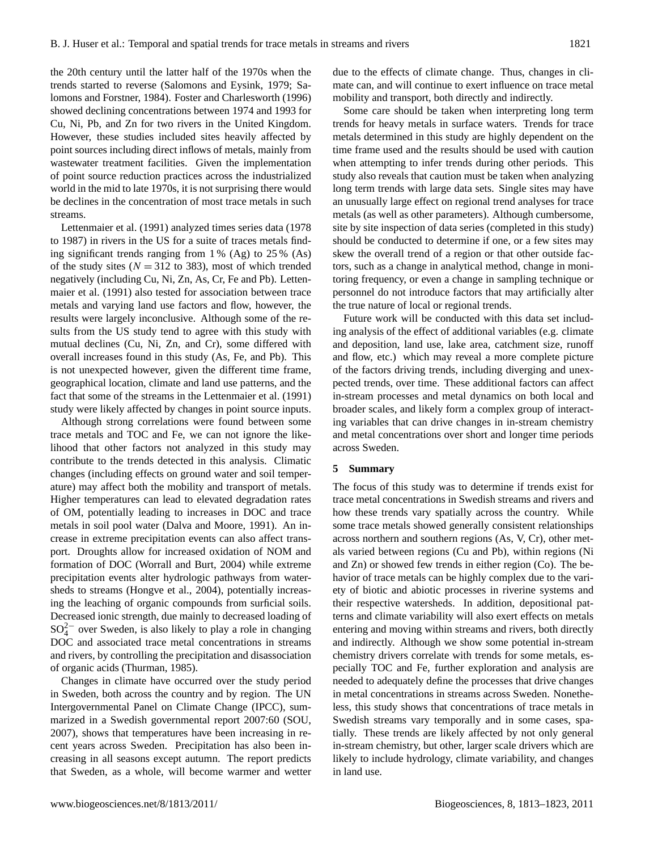the 20th century until the latter half of the 1970s when the trends started to reverse (Salomons and Eysink, 1979; Salomons and Forstner, 1984). Foster and Charlesworth (1996) showed declining concentrations between 1974 and 1993 for Cu, Ni, Pb, and Zn for two rivers in the United Kingdom. However, these studies included sites heavily affected by point sources including direct inflows of metals, mainly from wastewater treatment facilities. Given the implementation of point source reduction practices across the industrialized world in the mid to late 1970s, it is not surprising there would be declines in the concentration of most trace metals in such streams.

Lettenmaier et al. (1991) analyzed times series data (1978 to 1987) in rivers in the US for a suite of traces metals finding significant trends ranging from 1 % (Ag) to 25 % (As) of the study sites ( $N = 312$  to 383), most of which trended negatively (including Cu, Ni, Zn, As, Cr, Fe and Pb). Lettenmaier et al. (1991) also tested for association between trace metals and varying land use factors and flow, however, the results were largely inconclusive. Although some of the results from the US study tend to agree with this study with mutual declines (Cu, Ni, Zn, and Cr), some differed with overall increases found in this study (As, Fe, and Pb). This is not unexpected however, given the different time frame, geographical location, climate and land use patterns, and the fact that some of the streams in the Lettenmaier et al. (1991) study were likely affected by changes in point source inputs.

Although strong correlations were found between some trace metals and TOC and Fe, we can not ignore the likelihood that other factors not analyzed in this study may contribute to the trends detected in this analysis. Climatic changes (including effects on ground water and soil temperature) may affect both the mobility and transport of metals. Higher temperatures can lead to elevated degradation rates of OM, potentially leading to increases in DOC and trace metals in soil pool water (Dalva and Moore, 1991). An increase in extreme precipitation events can also affect transport. Droughts allow for increased oxidation of NOM and formation of DOC (Worrall and Burt, 2004) while extreme precipitation events alter hydrologic pathways from watersheds to streams (Hongve et al., 2004), potentially increasing the leaching of organic compounds from surficial soils. Decreased ionic strength, due mainly to decreased loading of  $SO_4^{2-}$  over Sweden, is also likely to play a role in changing DOC and associated trace metal concentrations in streams and rivers, by controlling the precipitation and disassociation of organic acids (Thurman, 1985).

Changes in climate have occurred over the study period in Sweden, both across the country and by region. The UN Intergovernmental Panel on Climate Change (IPCC), summarized in a Swedish governmental report 2007:60 (SOU, 2007), shows that temperatures have been increasing in recent years across Sweden. Precipitation has also been increasing in all seasons except autumn. The report predicts that Sweden, as a whole, will become warmer and wetter due to the effects of climate change. Thus, changes in climate can, and will continue to exert influence on trace metal mobility and transport, both directly and indirectly.

Some care should be taken when interpreting long term trends for heavy metals in surface waters. Trends for trace metals determined in this study are highly dependent on the time frame used and the results should be used with caution when attempting to infer trends during other periods. This study also reveals that caution must be taken when analyzing long term trends with large data sets. Single sites may have an unusually large effect on regional trend analyses for trace metals (as well as other parameters). Although cumbersome, site by site inspection of data series (completed in this study) should be conducted to determine if one, or a few sites may skew the overall trend of a region or that other outside factors, such as a change in analytical method, change in monitoring frequency, or even a change in sampling technique or personnel do not introduce factors that may artificially alter the true nature of local or regional trends.

Future work will be conducted with this data set including analysis of the effect of additional variables (e.g. climate and deposition, land use, lake area, catchment size, runoff and flow, etc.) which may reveal a more complete picture of the factors driving trends, including diverging and unexpected trends, over time. These additional factors can affect in-stream processes and metal dynamics on both local and broader scales, and likely form a complex group of interacting variables that can drive changes in in-stream chemistry and metal concentrations over short and longer time periods across Sweden.

#### **5 Summary**

The focus of this study was to determine if trends exist for trace metal concentrations in Swedish streams and rivers and how these trends vary spatially across the country. While some trace metals showed generally consistent relationships across northern and southern regions (As, V, Cr), other metals varied between regions (Cu and Pb), within regions (Ni and Zn) or showed few trends in either region (Co). The behavior of trace metals can be highly complex due to the variety of biotic and abiotic processes in riverine systems and their respective watersheds. In addition, depositional patterns and climate variability will also exert effects on metals entering and moving within streams and rivers, both directly and indirectly. Although we show some potential in-stream chemistry drivers correlate with trends for some metals, especially TOC and Fe, further exploration and analysis are needed to adequately define the processes that drive changes in metal concentrations in streams across Sweden. Nonetheless, this study shows that concentrations of trace metals in Swedish streams vary temporally and in some cases, spatially. These trends are likely affected by not only general in-stream chemistry, but other, larger scale drivers which are likely to include hydrology, climate variability, and changes in land use.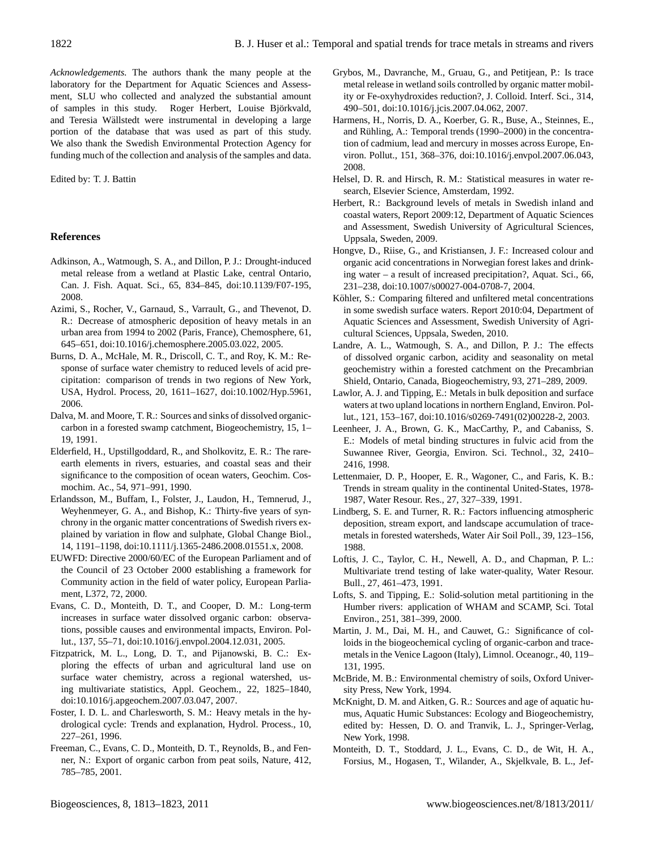*Acknowledgements.* The authors thank the many people at the laboratory for the Department for Aquatic Sciences and Assessment, SLU who collected and analyzed the substantial amount of samples in this study. Roger Herbert, Louise Björkvald, and Teresia Wällstedt were instrumental in developing a large portion of the database that was used as part of this study. We also thank the Swedish Environmental Protection Agency for funding much of the collection and analysis of the samples and data.

Edited by: T. J. Battin

## **References**

- Adkinson, A., Watmough, S. A., and Dillon, P. J.: Drought-induced metal release from a wetland at Plastic Lake, central Ontario, Can. J. Fish. Aquat. Sci., 65, 834–845, [doi:10.1139/F07-195,](http://dx.doi.org/10.1139/F07-195) 2008.
- Azimi, S., Rocher, V., Garnaud, S., Varrault, G., and Thevenot, D. R.: Decrease of atmospheric deposition of heavy metals in an urban area from 1994 to 2002 (Paris, France), Chemosphere, 61, 645–651, [doi:10.1016/j.chemosphere.2005.03.022,](http://dx.doi.org/10.1016/j.chemosphere.2005.03.022) 2005.
- Burns, D. A., McHale, M. R., Driscoll, C. T., and Roy, K. M.: Response of surface water chemistry to reduced levels of acid precipitation: comparison of trends in two regions of New York, USA, Hydrol. Process, 20, 1611–1627, [doi:10.1002/Hyp.5961,](http://dx.doi.org/10.1002/Hyp.5961) 2006.
- Dalva, M. and Moore, T. R.: Sources and sinks of dissolved organiccarbon in a forested swamp catchment, Biogeochemistry, 15, 1– 19, 1991.
- Elderfield, H., Upstillgoddard, R., and Sholkovitz, E. R.: The rareearth elements in rivers, estuaries, and coastal seas and their significance to the composition of ocean waters, Geochim. Cosmochim. Ac., 54, 971–991, 1990.
- Erlandsson, M., Buffam, I., Folster, J., Laudon, H., Temnerud, J., Weyhenmeyer, G. A., and Bishop, K.: Thirty-five years of synchrony in the organic matter concentrations of Swedish rivers explained by variation in flow and sulphate, Global Change Biol., 14, 1191–1198, [doi:10.1111/j.1365-2486.2008.01551.x,](http://dx.doi.org/10.1111/j.1365-2486.2008.01551.x) 2008.
- EUWFD: Directive 2000/60/EC of the European Parliament and of the Council of 23 October 2000 establishing a framework for Community action in the field of water policy, European Parliament, L372, 72, 2000.
- Evans, C. D., Monteith, D. T., and Cooper, D. M.: Long-term increases in surface water dissolved organic carbon: observations, possible causes and environmental impacts, Environ. Pollut., 137, 55–71, [doi:10.1016/j.envpol.2004.12.031,](http://dx.doi.org/10.1016/j.envpol.2004.12.031) 2005.
- Fitzpatrick, M. L., Long, D. T., and Pijanowski, B. C.: Exploring the effects of urban and agricultural land use on surface water chemistry, across a regional watershed, using multivariate statistics, Appl. Geochem., 22, 1825–1840, [doi:10.1016/j.apgeochem.2007.03.047,](http://dx.doi.org/10.1016/j.apgeochem.2007.03.047) 2007.
- Foster, I. D. L. and Charlesworth, S. M.: Heavy metals in the hydrological cycle: Trends and explanation, Hydrol. Process., 10, 227–261, 1996.
- Freeman, C., Evans, C. D., Monteith, D. T., Reynolds, B., and Fenner, N.: Export of organic carbon from peat soils, Nature, 412, 785–785, 2001.
- Grybos, M., Davranche, M., Gruau, G., and Petitjean, P.: Is trace metal release in wetland soils controlled by organic matter mobility or Fe-oxyhydroxides reduction?, J. Colloid. Interf. Sci., 314, 490–501, [doi:10.1016/j.jcis.2007.04.062,](http://dx.doi.org/10.1016/j.jcis.2007.04.062) 2007.
- Harmens, H., Norris, D. A., Koerber, G. R., Buse, A., Steinnes, E., and Rühling, A.: Temporal trends (1990–2000) in the concentration of cadmium, lead and mercury in mosses across Europe, Environ. Pollut., 151, 368–376, [doi:10.1016/j.envpol.2007.06.043,](http://dx.doi.org/10.1016/j.envpol.2007.06.043) 2008.
- Helsel, D. R. and Hirsch, R. M.: Statistical measures in water research, Elsevier Science, Amsterdam, 1992.
- Herbert, R.: Background levels of metals in Swedish inland and coastal waters, Report 2009:12, Department of Aquatic Sciences and Assessment, Swedish University of Agricultural Sciences, Uppsala, Sweden, 2009.
- Hongve, D., Riise, G., and Kristiansen, J. F.: Increased colour and organic acid concentrations in Norwegian forest lakes and drinking water – a result of increased precipitation?, Aquat. Sci., 66, 231–238, [doi:10.1007/s00027-004-0708-7,](http://dx.doi.org/10.1007/s00027-004-0708-7) 2004.
- Köhler, S.: Comparing filtered and unfiltered metal concentrations in some swedish surface waters. Report 2010:04, Department of Aquatic Sciences and Assessment, Swedish University of Agricultural Sciences, Uppsala, Sweden, 2010.
- Landre, A. L., Watmough, S. A., and Dillon, P. J.: The effects of dissolved organic carbon, acidity and seasonality on metal geochemistry within a forested catchment on the Precambrian Shield, Ontario, Canada, Biogeochemistry, 93, 271–289, 2009.
- Lawlor, A. J. and Tipping, E.: Metals in bulk deposition and surface waters at two upland locations in northern England, Environ. Pollut., 121, 153–167, [doi:10.1016/s0269-7491\(02\)00228-2,](http://dx.doi.org/10.1016/s0269-7491(02)00228-2) 2003.
- Leenheer, J. A., Brown, G. K., MacCarthy, P., and Cabaniss, S. E.: Models of metal binding structures in fulvic acid from the Suwannee River, Georgia, Environ. Sci. Technol., 32, 2410– 2416, 1998.
- Lettenmaier, D. P., Hooper, E. R., Wagoner, C., and Faris, K. B.: Trends in stream quality in the continental United-States, 1978- 1987, Water Resour. Res., 27, 327–339, 1991.
- Lindberg, S. E. and Turner, R. R.: Factors influencing atmospheric deposition, stream export, and landscape accumulation of tracemetals in forested watersheds, Water Air Soil Poll., 39, 123–156, 1988.
- Loftis, J. C., Taylor, C. H., Newell, A. D., and Chapman, P. L.: Multivariate trend testing of lake water-quality, Water Resour. Bull., 27, 461–473, 1991.
- Lofts, S. and Tipping, E.: Solid-solution metal partitioning in the Humber rivers: application of WHAM and SCAMP, Sci. Total Environ., 251, 381–399, 2000.
- Martin, J. M., Dai, M. H., and Cauwet, G.: Significance of colloids in the biogeochemical cycling of organic-carbon and tracemetals in the Venice Lagoon (Italy), Limnol. Oceanogr., 40, 119– 131, 1995.
- McBride, M. B.: Environmental chemistry of soils, Oxford University Press, New York, 1994.
- McKnight, D. M. and Aitken, G. R.: Sources and age of aquatic humus, Aquatic Humic Substances: Ecology and Biogeochemistry, edited by: Hessen, D. O. and Tranvik, L. J., Springer-Verlag, New York, 1998.
- Monteith, D. T., Stoddard, J. L., Evans, C. D., de Wit, H. A., Forsius, M., Hogasen, T., Wilander, A., Skjelkvale, B. L., Jef-